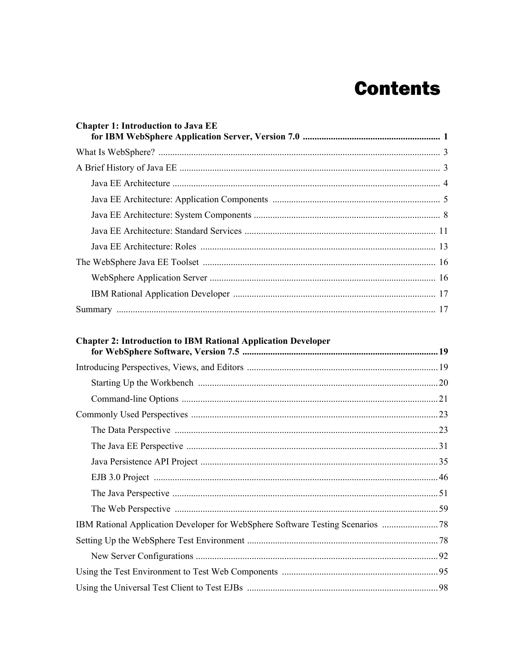| <b>Chapter 1: Introduction to Java EE</b> |  |
|-------------------------------------------|--|
|                                           |  |
|                                           |  |
|                                           |  |
|                                           |  |
|                                           |  |
|                                           |  |
|                                           |  |
|                                           |  |
|                                           |  |
|                                           |  |
|                                           |  |

## **Chapter 2: Introduction to IBM Rational Application Developer**

| IBM Rational Application Developer for WebSphere Software Testing Scenarios |  |
|-----------------------------------------------------------------------------|--|
|                                                                             |  |
|                                                                             |  |
|                                                                             |  |
|                                                                             |  |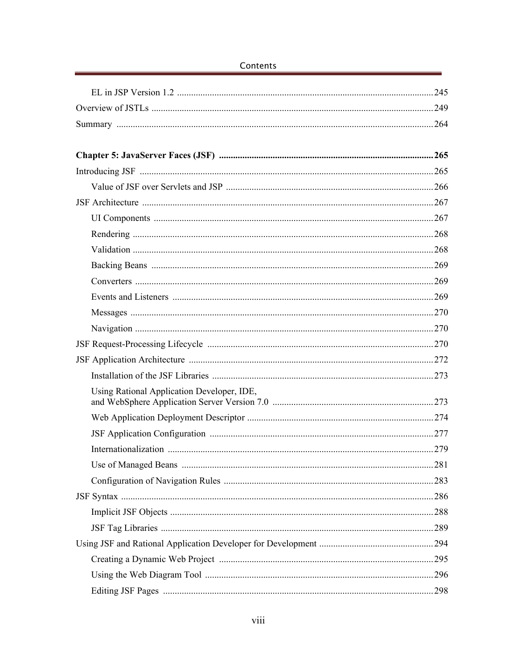|                                            | 245 |
|--------------------------------------------|-----|
|                                            |     |
|                                            |     |
|                                            |     |
|                                            |     |
|                                            |     |
|                                            |     |
|                                            |     |
|                                            |     |
|                                            |     |
|                                            |     |
|                                            |     |
|                                            |     |
|                                            |     |
|                                            |     |
|                                            |     |
|                                            |     |
|                                            |     |
|                                            |     |
| Using Rational Application Developer, IDE, |     |
|                                            |     |
|                                            |     |
|                                            |     |
|                                            |     |
|                                            |     |
|                                            |     |
|                                            |     |
|                                            |     |
|                                            |     |
|                                            |     |
|                                            |     |
|                                            |     |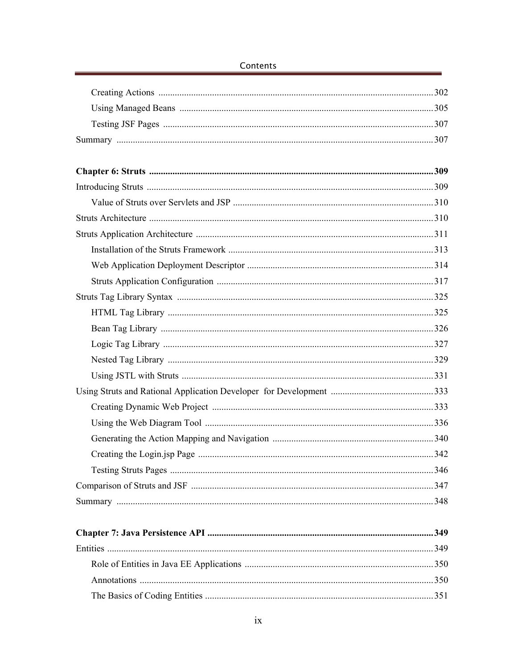| .348 |
|------|
|      |
|      |
|      |
|      |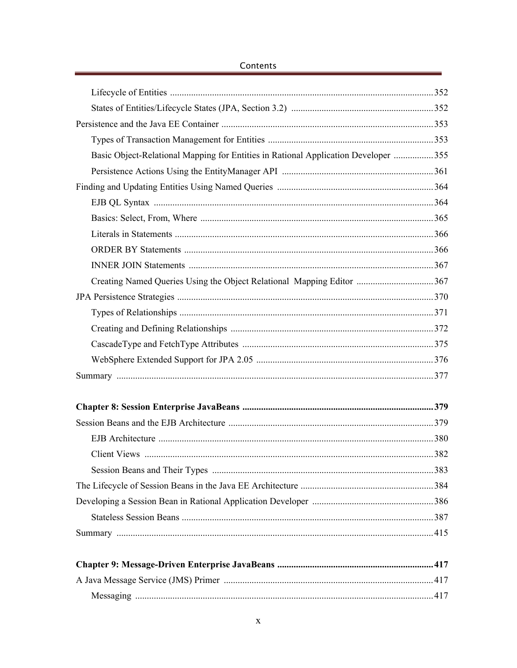| Basic Object-Relational Mapping for Entities in Rational Application Developer  355 |  |
|-------------------------------------------------------------------------------------|--|
|                                                                                     |  |
|                                                                                     |  |
|                                                                                     |  |
|                                                                                     |  |
|                                                                                     |  |
|                                                                                     |  |
|                                                                                     |  |
|                                                                                     |  |
|                                                                                     |  |
|                                                                                     |  |
|                                                                                     |  |
|                                                                                     |  |
|                                                                                     |  |
|                                                                                     |  |
|                                                                                     |  |
|                                                                                     |  |
|                                                                                     |  |
|                                                                                     |  |
|                                                                                     |  |
|                                                                                     |  |
|                                                                                     |  |
|                                                                                     |  |
|                                                                                     |  |
|                                                                                     |  |
|                                                                                     |  |
|                                                                                     |  |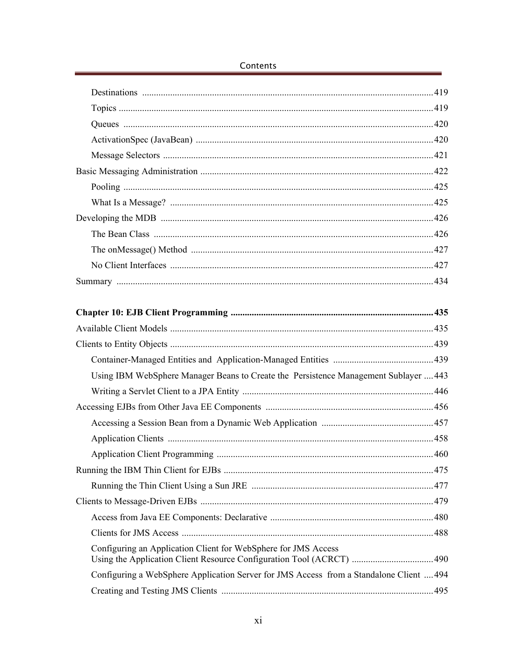| Using IBM WebSphere Manager Beans to Create the Persistence Management Sublayer  443    |  |
|-----------------------------------------------------------------------------------------|--|
|                                                                                         |  |
|                                                                                         |  |
|                                                                                         |  |
|                                                                                         |  |
|                                                                                         |  |
|                                                                                         |  |
|                                                                                         |  |
|                                                                                         |  |
|                                                                                         |  |
|                                                                                         |  |
| Configuring an Application Client for WebSphere for JMS Access                          |  |
| Configuring a WebSphere Application Server for JMS Access from a Standalone Client  494 |  |
|                                                                                         |  |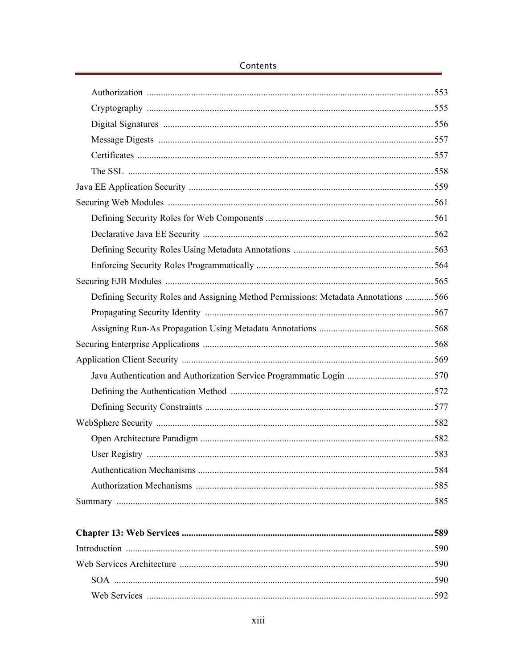| Defining Security Roles and Assigning Method Permissions: Metadata Annotations  566 |  |
|-------------------------------------------------------------------------------------|--|
|                                                                                     |  |
|                                                                                     |  |
|                                                                                     |  |
|                                                                                     |  |
|                                                                                     |  |
|                                                                                     |  |
|                                                                                     |  |
|                                                                                     |  |
|                                                                                     |  |
|                                                                                     |  |
|                                                                                     |  |
|                                                                                     |  |
|                                                                                     |  |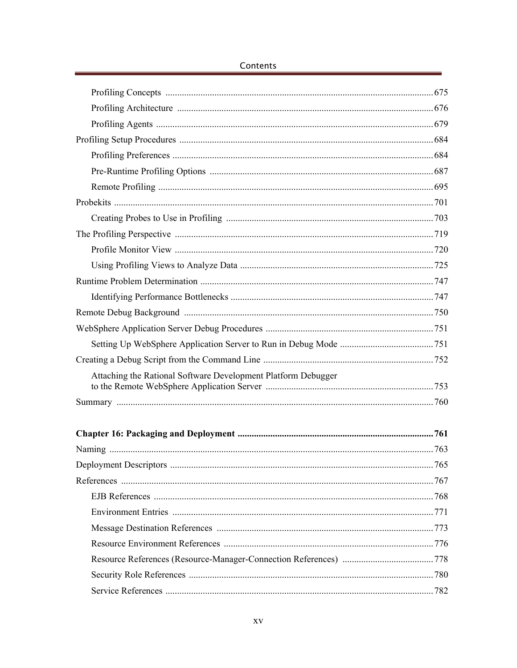| Attaching the Rational Software Development Platform Debugger |  |
|---------------------------------------------------------------|--|
|                                                               |  |
|                                                               |  |
|                                                               |  |
|                                                               |  |
|                                                               |  |
|                                                               |  |
|                                                               |  |
|                                                               |  |
|                                                               |  |
|                                                               |  |
|                                                               |  |
|                                                               |  |